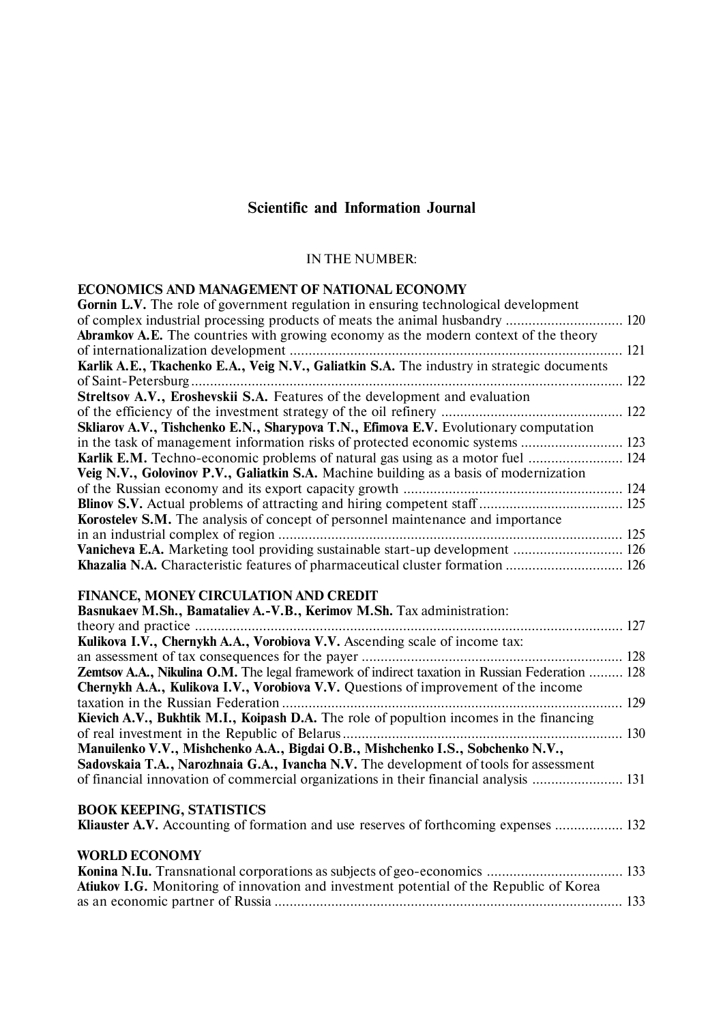## **Scientific and Information Journal**

## IN THE NUMBER:

## **ECONOMICS AND MANAGEMENT OF NATIONAL ECONOMY**

| <b>Gornin L.V.</b> The role of government regulation in ensuring technological development  |  |
|---------------------------------------------------------------------------------------------|--|
|                                                                                             |  |
| <b>Abramkov A.E.</b> The countries with growing economy as the modern context of the theory |  |
|                                                                                             |  |
| Karlik A.E., Tkachenko E.A., Veig N.V., Galiatkin S.A. The industry in strategic documents  |  |
|                                                                                             |  |
| Streltsov A.V., Eroshevskii S.A. Features of the development and evaluation                 |  |
|                                                                                             |  |
| Skliarov A.V., Tishchenko E.N., Sharypova T.N., Efimova E.V. Evolutionary computation       |  |
| in the task of management information risks of protected economic systems  123              |  |
| <b>Karlik E.M.</b> Techno-economic problems of natural gas using as a motor fuel  124       |  |
| Veig N.V., Golovinov P.V., Galiatkin S.A. Machine building as a basis of modernization      |  |
|                                                                                             |  |
|                                                                                             |  |
| <b>Korostelev S.M.</b> The analysis of concept of personnel maintenance and importance      |  |
|                                                                                             |  |
|                                                                                             |  |
| Khazalia N.A. Characteristic features of pharmaceutical cluster formation  126              |  |

## **FINANCE, MONEY CIRCULATION AND CREDIT**

| Basnukaev M.Sh., Bamataliev A.-V.B., Kerimov M.Sh. Tax administration:                                 |  |
|--------------------------------------------------------------------------------------------------------|--|
|                                                                                                        |  |
| Kulikova I.V., Chernykh A.A., Vorobiova V.V. Ascending scale of income tax:                            |  |
|                                                                                                        |  |
| <b>Zemtsov A.A., Nikulina O.M.</b> The legal framework of indirect taxation in Russian Federation  128 |  |
| <b>Chernykh A.A., Kulikova I.V., Vorobiova V.V.</b> Questions of improvement of the income             |  |
|                                                                                                        |  |
| Kievich A.V., Bukhtik M.I., Koipash D.A. The role of popultion incomes in the financing                |  |
|                                                                                                        |  |
| Manuilenko V.V., Mishchenko A.A., Bigdai O.B., Mishchenko I.S., Sobchenko N.V.,                        |  |
| Sadovskaia T.A., Narozhnaia G.A., Ivancha N.V. The development of tools for assessment                 |  |
| of financial innovation of commercial organizations in their financial analysis  131                   |  |
| <b>BOOK KEEPING, STATISTICS</b>                                                                        |  |
| Kliauster A.V. Accounting of formation and use reserves of forthcoming expenses  132                   |  |
| <b>WORLD ECONOMY</b>                                                                                   |  |
|                                                                                                        |  |
| <b>Atiukov I.G.</b> Monitoring of innovation and investment potential of the Republic of Korea         |  |
|                                                                                                        |  |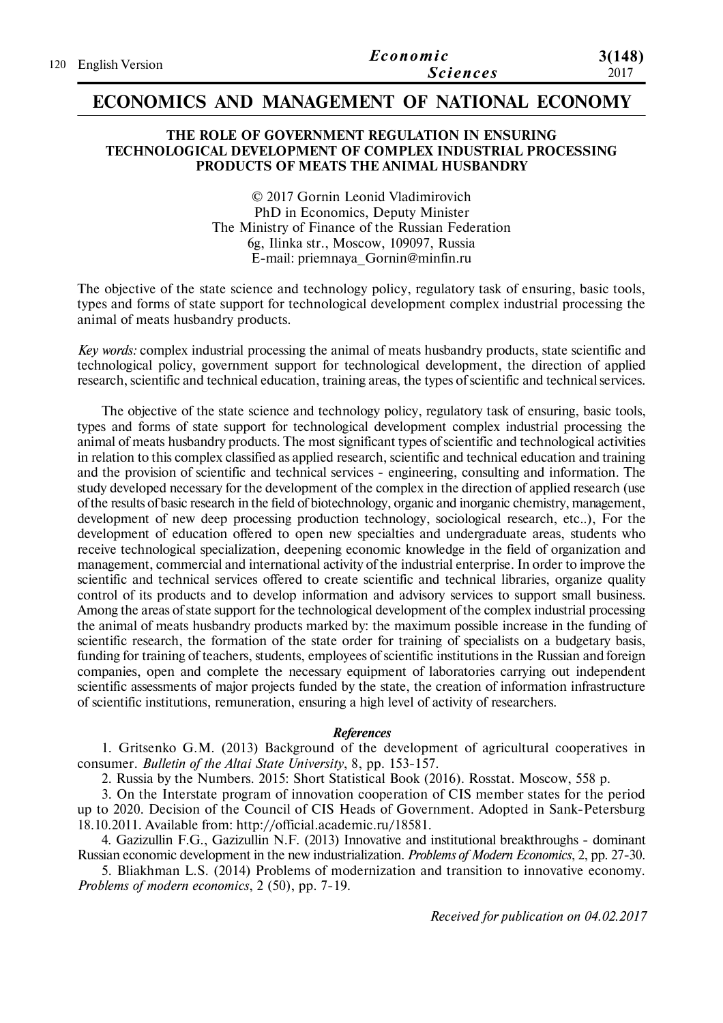| 120 English Version | Economic        | 3(148) |
|---------------------|-----------------|--------|
|                     | <b>Sciences</b> | 2017   |

## **ECONOMICS AND MANAGEMENT OF NATIONAL ECONOMY**

## **THE ROLE OF GOVERNMENT REGULATION IN ENSURING TECHNOLOGICAL DEVELOPMENT OF COMPLEX INDUSTRIAL PROCESSING PRODUCTS OF MEATS THE ANIMAL HUSBANDRY**

© 2017 Gornin Leonid Vladimirovich PhD in Economics, Deputy Minister The Ministry of Finance of the Russian Federation 6g, Ilinka str., Moscow, 109097, Russia E-mail: priemnaya\_Gornin@minfin.ru

The objective of the state science and technology policy, regulatory task of ensuring, basic tools, types and forms of state support for technological development complex industrial processing the animal of meats husbandry products.

*Key words:* complex industrial processing the animal of meats husbandry products, state scientific and technological policy, government support for technological development, the direction of applied research, scientific and technical education, training areas, the types of scientific and technical services.

The objective of the state science and technology policy, regulatory task of ensuring, basic tools, types and forms of state support for technological development complex industrial processing the animal of meats husbandry products. The most significant types of scientific and technological activities in relation to this complex classified as applied research, scientific and technical education and training and the provision of scientific and technical services - engineering, consulting and information. The study developed necessary for the development of the complex in the direction of applied research (use of the results of basic research in the field of biotechnology, organic and inorganic chemistry, management, development of new deep processing production technology, sociological research, etc..), For the development of education offered to open new specialties and undergraduate areas, students who receive technological specialization, deepening economic knowledge in the field of organization and management, commercial and international activity of the industrial enterprise. In order to improve the scientific and technical services offered to create scientific and technical libraries, organize quality control of its products and to develop information and advisory services to support small business. Among the areas of state support for the technological development of the complex industrial processing the animal of meats husbandry products marked by: the maximum possible increase in the funding of scientific research, the formation of the state order for training of specialists on a budgetary basis, funding for training of teachers, students, employees of scientific institutions in the Russian and foreign companies, open and complete the necessary equipment of laboratories carrying out independent scientific assessments of major projects funded by the state, the creation of information infrastructure of scientific institutions, remuneration, ensuring a high level of activity of researchers.

## *References*

1. Gritsenko G.M. (2013) Background of the development of agricultural cooperatives in consumer. *Bulletin of the Altai State University*, 8, рp. 153-157.

2. Russia by the Numbers. 2015: Short Statistical Book (2016). Rosstat. Moscow, 558 p.

3. On the Interstate program of innovation cooperation of CIS member states for the period up to 2020. Decision of the Council of CIS Heads of Government. Adopted in Sank-Petersburg 18.10.2011. Available from: http://official.academic.ru/18581.

4. Gazizullin F.G., Gazizullin N.F. (2013) Innovative and institutional breakthroughs - dominant Russian economic development in the new industrialization. *Problems of Modern Economics*, 2, pр. 27-30.

5. Bliakhman L.S. (2014) Problems of modernization and transition to innovative economy. *Problems of modern economics*, 2 (50), pр. 7-19.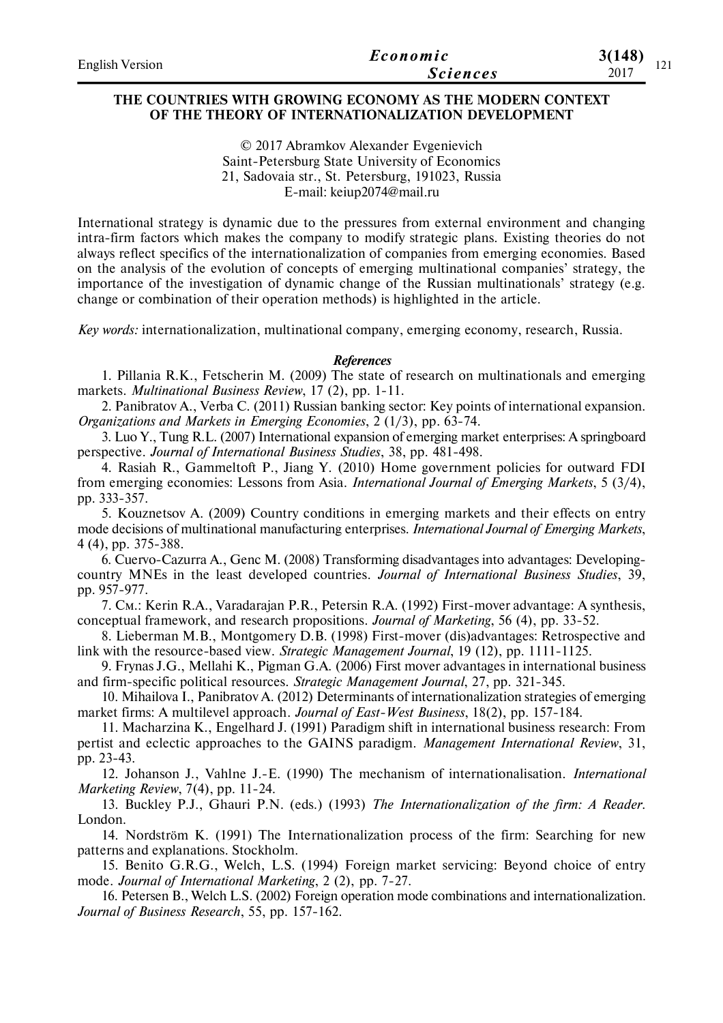| <b>English Version</b> | Economic        | 3(148)      |
|------------------------|-----------------|-------------|
|                        | <b>Sciences</b> | 1/1<br>2017 |

## **THE COUNTRIES WITH GROWING ECONOMY AS THE MODERN CONTEXT OF THE THEORY OF INTERNATIONALIZATION DEVELOPMENT**

© 2017 Abramkov Alexander Evgenievich Saint-Petersburg State University of Economics 21, Sadovaia str., St. Petersburg, 191023, Russia E-mail: keiup2074@mail.ru

International strategy is dynamic due to the pressures from external environment and changing intra-firm factors which makes the company to modify strategic plans. Existing theories do not always reflect specifics of the internationalization of companies from emerging economies. Based on the analysis of the evolution of concepts of emerging multinational companies' strategy, the importance of the investigation of dynamic change of the Russian multinationals' strategy (e.g. change or combination of their operation methods) is highlighted in the article.

*Key words:* internationalization, multinational company, emerging economy, research, Russia.

#### *References*

1. Pillania R.K., Fetscherin M. (2009) The state of research on multinationals and emerging markets. *Multinational Business Review*, 17 (2), рр. 1-11.

2. Panibratov A., Verba C. (2011) Russian banking sector: Key points of international expansion. *Organizations and Markets in Emerging Economies*, 2 (1/3), рр. 63-74.

3. Luo Y., Tung R.L. (2007) International expansion of emerging market enterprises: A springboard perspective. *Journal of International Business Studies*, 38, рр. 481-498.

4. Rasiah R., Gammeltoft P., Jiang Y. (2010) Home government policies for outward FDI from emerging economies: Lessons from Asia. *International Journal of Emerging Markets*, 5 (3/4), рр. 333-357.

5. Kouznetsov A. (2009) Country conditions in emerging markets and their effects on entry mode decisions of multinational manufacturing enterprises. *International Journal of Emerging Markets*, 4 (4), рр. 375-388.

6. Cuervo-Cazurra A., Genc M. (2008) Transforming disadvantages into advantages: Developingcountry MNEs in the least developed countries. *Journal of International Business Studies*, 39, рр. 957-977.

7. См.: Kerin R.A., Varadarajan P.R., Petersin R.A. (1992) First-mover advantage: A synthesis, conceptual framework, and research propositions. *Journal of Marketing*, 56 (4), рр. 33-52.

8. Lieberman M.B., Montgomery D.B. (1998) First-mover (dis)advantages: Retrospective and link with the resource-based view. *Strategic Management Journal*, 19 (12), рр. 1111-1125.

9. Frynas J.G., Mellahi K., Pigman G.A. (2006) First mover advantages in international business and firm-specific political resources. *Strategic Management Journal*, 27, рр. 321-345.

10. Mihailova I., Panibratov A. (2012) Determinants of internationalization strategies of emerging market firms: A multilevel approach. *Journal of East-West Business*, 18(2), рр. 157-184.

11. Macharzina K., Engelhard J. (1991) Paradigm shift in international business research: From pertist and eclectic approaches to the GAINS paradigm. *Management International Review*, 31, рр. 23-43.

12. Johanson J., Vahlne J.-E. (1990) The mechanism of internationalisation. *International Marketing Review*, 7(4), рр. 11-24.

13. Buckley P.J., Ghauri P.N. (eds.) (1993) *The Internationalization of the firm: A Reader*. London.

14. Nordström K. (1991) The Internationalization process of the firm: Searching for new patterns and explanations. Stockholm.

15. Benito G.R.G., Welch, L.S. (1994) Foreign market servicing: Beyond choice of entry mode. *Journal of International Marketing*, 2 (2), рр. 7-27.

16. Petersen B., Welch L.S. (2002) Foreign operation mode combinations and internationalization. *Journal of Business Research*, 55, рр. 157-162.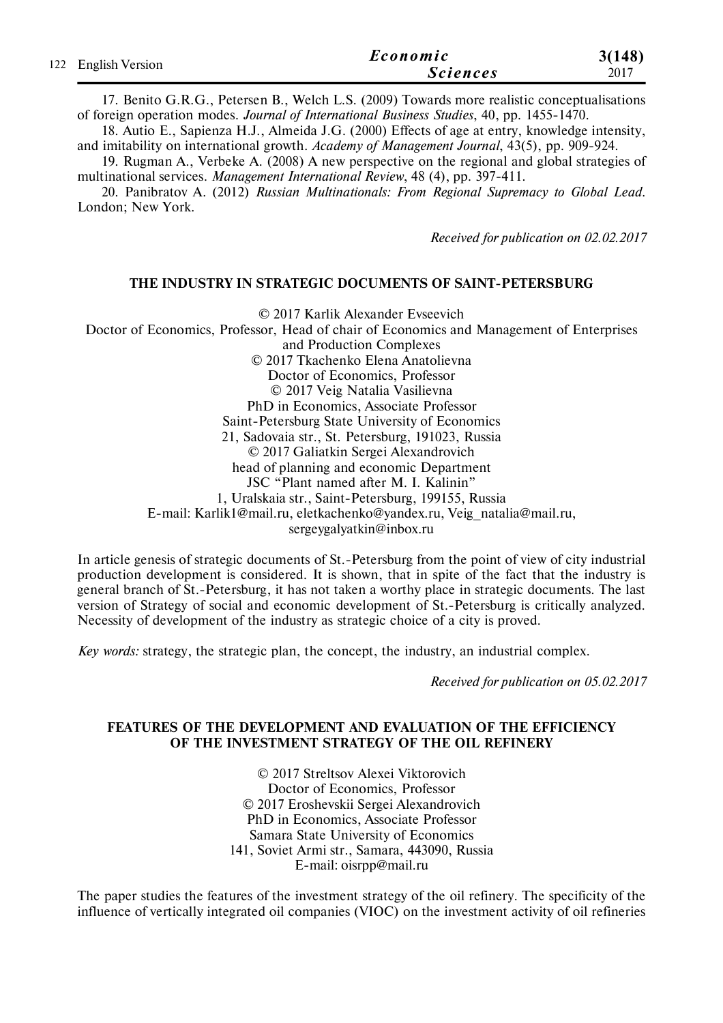|                     | Economic        | 3(148) |
|---------------------|-----------------|--------|
| 122 English Version | <b>Sciences</b> | 2017   |

17. Benito G.R.G., Petersen B., Welch L.S. (2009) Towards more realistic conceptualisations of foreign operation modes. *Journal of International Business Studies*, 40, рр. 1455-1470.

18. Autio E., Sapienza H.J., Almeida J.G. (2000) Effects of age at entry, knowledge intensity, and imitability on international growth. *Academy of Management Journal*, 43(5), рр. 909-924.

19. Rugman A., Verbeke A. (2008) A new perspective on the regional and global strategies of multinational services. *Management International Review*, 48 (4), рр. 397-411.

20. Panibratov A. (2012) *Russian Multinationals: From Regional Supremacy to Global Lead*. London; New York.

*Received for publication on 02.02.2017*

### **THE INDUSTRY IN STRATEGIC DOCUMENTS OF SAINT-PETERSBURG**

© 2017 Karlik Alexander Evseevich

Doctor of Economics, Professor, Head of chair of Economics and Management of Enterprises and Production Complexes

© 2017 Tkachenko Elena Anatolievna

Doctor of Economics, Professor

© 2017 Veig Natalia Vasilievna

PhD in Economics, Associate Professor

Saint-Petersburg State University of Economics

21, Sadovaia str., St. Petersburg, 191023, Russia

© 2017 Galiatkin Sergei Alexandrovich

head of planning and economic Department

JSC "Plant named after M. I. Kalinin"

1, Uralskaia str., Saint-Petersburg, 199155, Russia

E-mail: Karlik1@mail.ru, eletkachenko@yandex.ru, Veig\_natalia@mail.ru,

sergeygalyatkin@inbox.ru

In article genesis of strategic documents of St.-Petersburg from the point of view of city industrial production development is considered. It is shown, that in spite of the fact that the industry is general branch of St.-Petersburg, it has not taken a worthy place in strategic documents. The last version of Strategy of social and economic development of St.-Petersburg is critically analyzed. Necessity of development of the industry as strategic choice of a city is proved.

*Key words:* strategy, the strategic plan, the concept, the industry, an industrial complex.

*Received for publication on 05.02.2017*

## **FEATURES OF THE DEVELOPMENT AND EVALUATION OF THE EFFICIENCY OF THE INVESTMENT STRATEGY OF THE OIL REFINERY**

© 2017 Streltsov Alexei Viktorovich Doctor of Economics, Professor © 2017 Eroshevskii Sergei Alexandrovich PhD in Economics, Associate Professor Samara State University of Economics 141, Soviet Armi str., Samara, 443090, Russia Е-mail: oisrpp@mail.ru

The paper studies the features of the investment strategy of the oil refinery. The specificity of the influence of vertically integrated oil companies (VIOC) on the investment activity of oil refineries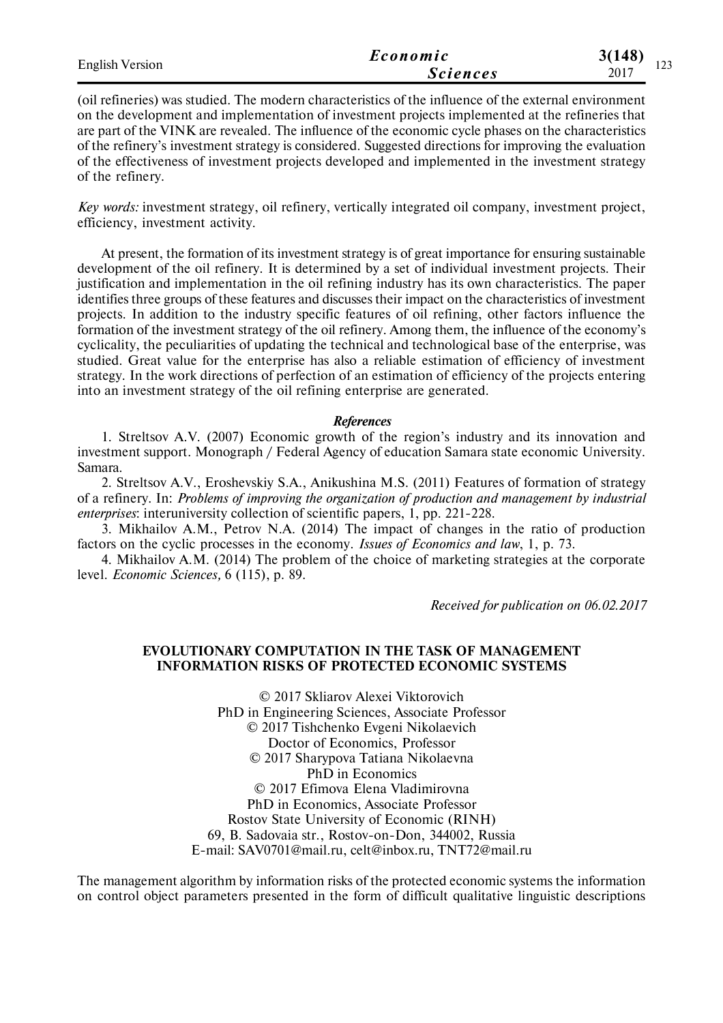| <b>English Version</b> | Economic        | 3(148)<br>$1 \wedge \wedge$ |  |
|------------------------|-----------------|-----------------------------|--|
|                        | <i>Sciences</i> | $1 - 1$<br>2017             |  |

(oil refineries) was studied. The modern characteristics of the influence of the external environment on the development and implementation of investment projects implemented at the refineries that are part of the VINK are revealed. The influence of the economic cycle phases on the characteristics of the refinery's investment strategy is considered. Suggested directions for improving the evaluation of the effectiveness of investment projects developed and implemented in the investment strategy of the refinery.

*Key words:* investment strategy, oil refinery, vertically integrated oil company, investment project, efficiency, investment activity.

At present, the formation of its investment strategy is of great importance for ensuring sustainable development of the oil refinery. It is determined by a set of individual investment projects. Their justification and implementation in the oil refining industry has its own characteristics. The paper identifies three groups of these features and discusses their impact on the characteristics of investment projects. In addition to the industry specific features of oil refining, other factors influence the formation of the investment strategy of the oil refinery. Among them, the influence of the economy's cyclicality, the peculiarities of updating the technical and technological base of the enterprise, was studied. Great value for the enterprise has also a reliable estimation of efficiency of investment strategy. In the work directions of perfection of an estimation of efficiency of the projects entering into an investment strategy of the oil refining enterprise are generated.

#### *References*

1. Streltsov A.V. (2007) Economic growth of the region's industry and its innovation and investment support. Monograph / Federal Agency of education Samara state economic University. Samara.

2. Streltsov A.V., Eroshevskiy S.A., Anikushina M.S. (2011) Features of formation of strategy of a refinery. In: *Problems of improving the organization of production and management by industrial enterprises*: interuniversity collection of scientific papers, 1, рр. 221-228.

3. Mikhailov A.M., Petrov N.A. (2014) The impact of changes in the ratio of production factors on the cyclic processes in the economy. *Issues of Economics and law*, 1, р. 73.

4. Mikhailov A.M. (2014) The problem of the choice of marketing strategies at the corporate level. *Economic Sciences,* 6 (115), р. 89.

*Received for publication on 06.02.2017*

## **EVOLUTIONARY COMPUTATION IN THE TASK OF MANAGEMENT INFORMATION RISKS OF PROTECTED ECONOMIC SYSTEMS**

© 2017 Skliarov Alexei Viktorovich PhD in Engineering Sciences, Associate Professor © 2017 Tishchenko Evgeni Nikolaevich Doctor of Economics, Professor © 2017 Sharypova Tatiana Nikolaevna PhD in Economics © 2017 Efimova Elena Vladimirovna PhD in Economics, Associate Professor Rostov State University of Economic (RINH) 69, B. Sadovaia str., Rostov-on-Don, 344002, Russia E-mail: SAV0701@mail.ru, celt@inbox.ru, TNT72@mail.ru

The management algorithm by information risks of the protected economic systems the information on control object parameters presented in the form of difficult qualitative linguistic descriptions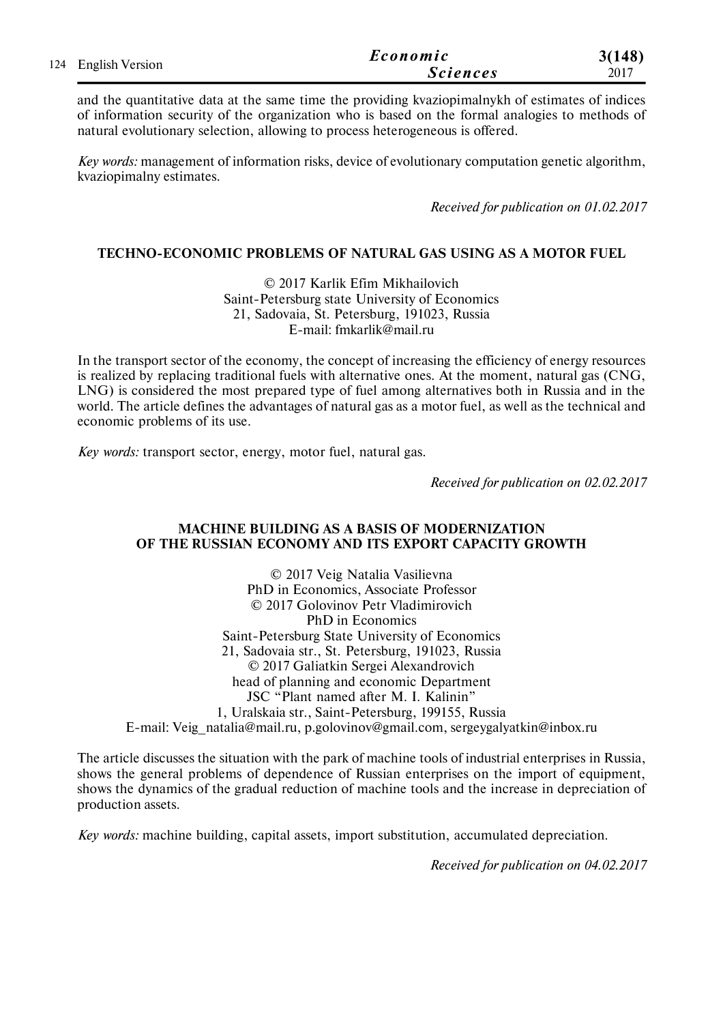| 124 English Version | Economic        | 3(148) |
|---------------------|-----------------|--------|
|                     | <b>Sciences</b> | 2017   |

and the quantitative data at the same time the providing kvaziopimalnykh of estimates of indices of information security of the organization who is based on the formal analogies to methods of natural evolutionary selection, allowing to process heterogeneous is offered.

*Key words:* management of information risks, device of evolutionary computation genetic algorithm, kvaziopimalny estimates.

*Received for publication on 01.02.2017*

## **TECHNO-ECONOMIC PROBLEMS OF NATURAL GAS USING AS A MOTOR FUEL**

© 2017 Karlik Efim Mikhailovich Saint-Petersburg state University of Economics 21, Sadovaia, St. Petersburg, 191023, Russia E-mail: fmkarlik@mail.ru

In the transport sector of the economy, the concept of increasing the efficiency of energy resources is realized by replacing traditional fuels with alternative ones. At the moment, natural gas (CNG, LNG) is considered the most prepared type of fuel among alternatives both in Russia and in the world. The article defines the advantages of natural gas as a motor fuel, as well as the technical and economic problems of its use.

*Key words:* transport sector, energy, motor fuel, natural gas.

*Received for publication on 02.02.2017*

## **MACHINE BUILDING AS A BASIS OF MODERNIZATION OF THE RUSSIAN ECONOMY AND ITS EXPORT CAPACITY GROWTH**

© 2017 Veig Natalia Vasilievna PhD in Economics, Associate Professor © 2017 Golovinov Petr Vladimirovich PhD in Economics Saint-Petersburg State University of Economics 21, Sadovaia str., St. Petersburg, 191023, Russia © 2017 Galiatkin Sergei Alexandrovich head of planning and economic Department JSC "Plant named after M. I. Kalinin" 1, Uralskaia str., Saint-Petersburg, 199155, Russia E-mail: Veig\_natalia@mail.ru, p.golovinov@gmail.com, sergeygalyatkin@inbox.ru

The article discusses the situation with the park of machine tools of industrial enterprises in Russia, shows the general problems of dependence of Russian enterprises on the import of equipment, shows the dynamics of the gradual reduction of machine tools and the increase in depreciation of production assets.

*Key words:* machine building, capital assets, import substitution, accumulated depreciation.

*Received for publication on 04.02.2017*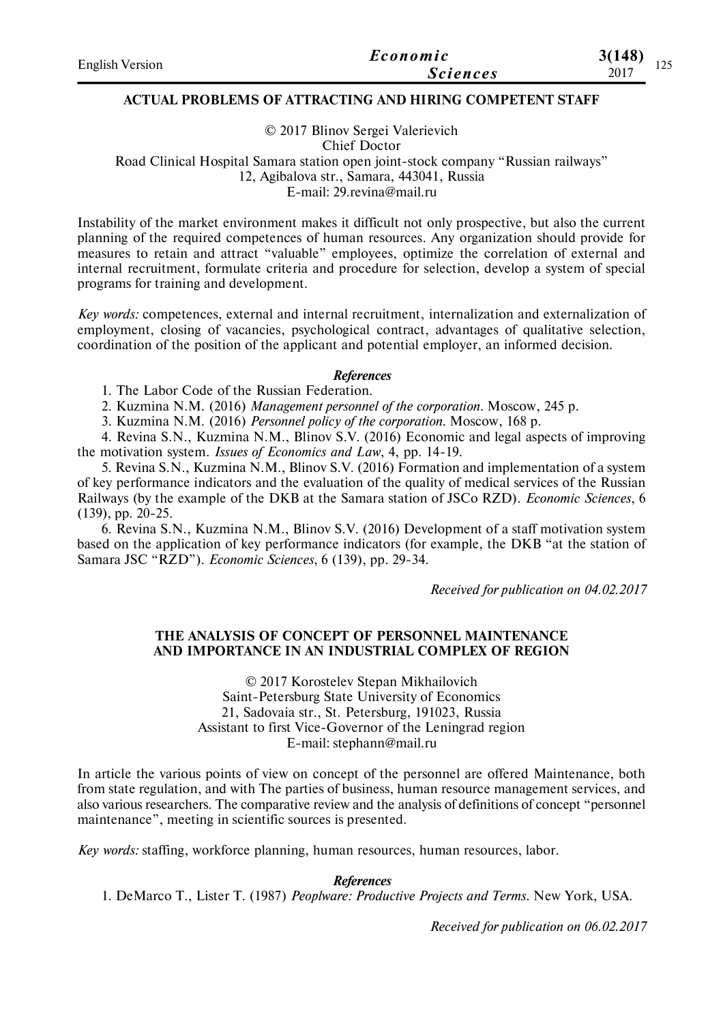| <b>English Version</b> | Economic        | 3(148)<br>۵ د |
|------------------------|-----------------|---------------|
|                        | <i>Sciences</i> | 12J<br>2017   |

## **ACTUAL PROBLEMS OF ATTRACTING AND HIRING COMPETENT STAFF**

© 2017 Blinov Sergei Valerievich Chief Doctor Road Clinical Hospital Samara station open joint-stock company "Russian railways" 12, Agibalova str., Samara, 443041, Russia E-mail: 29.revina@mail.ru

Instability of the market environment makes it difficult not only prospective, but also the current planning of the required competences of human resources. Any organization should provide for measures to retain and attract "valuable" employees, optimize the correlation of external and internal recruitment, formulate criteria and procedure for selection, develop a system of special programs for training and development.

*Key words:* competences, external and internal recruitment, internalization and externalization of employment, closing of vacancies, psychological contract, advantages of qualitative selection, coordination of the position of the applicant and potential employer, an informed decision.

#### *References*

1. The Labor Code of the Russian Federation.

2. Kuzmina N.M. (2016) *Management personnel of the corporation*. Moscow, 245 p.

3. Kuzmina N.M. (2016) *Personnel policy of the corporation*. Moscow, 168 p.

4. Revina S.N., Kuzmina N.M., Blinov S.V. (2016) Economic and legal aspects of improving the motivation system. *Issues of Economics and Law*, 4, pp. 14-19.

5. Revina S.N., Kuzmina N.M., Blinov S.V. (2016) Formation and implementation of a system of key performance indicators and the evaluation of the quality of medical services of the Russian Railways (by the example of the DKB at the Samara station of JSCo RZD). *Economic Sciences*, 6 (139), pp. 20-25.

6. Revina S.N., Kuzmina N.M., Blinov S.V. (2016) Development of a staff motivation system based on the application of key performance indicators (for example, the DKB "at the station of Samara JSC "RZD"). *Economic Sciences*, 6 (139), pp. 29-34.

*Received for publication on 04.02.2017*

## **THE ANALYSIS OF CONCEPT OF PERSONNEL MAINTENANCE AND IMPORTANCE IN AN INDUSTRIAL COMPLEX OF REGION**

© 2017 Korostelev Stepan Mikhailovich Saint-Petersburg State University of Economics 21, Sadovaia str., St. Petersburg, 191023, Russia Assistant to first Vice-Governor of the Leningrad region E-mail: stephann@mail.ru

In article the various points of view on concept of the personnel are offered Maintenance, both from state regulation, and with The parties of business, human resource management services, and also various researchers. The comparative review and the analysis of definitions of concept "personnel maintenance", meeting in scientific sources is presented.

*Key words:* staffing, workforce planning, human resources, human resources, labor.

## *References*

1. DеМаrсо Т., Lister T. (1987) *Реорlwаrе: Рroductive Рrojects аnd Теrms*. New Yоrk, USА.

*Received for publication on 06.02.2017*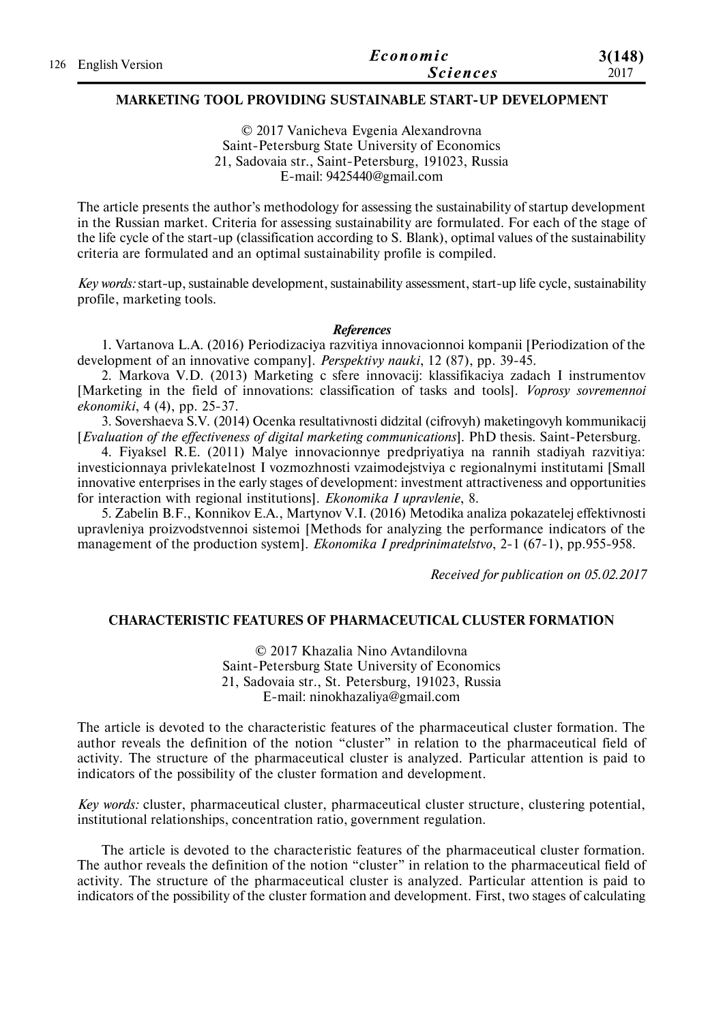|                     | Economic        | 3(148) |
|---------------------|-----------------|--------|
| 126 English Version | <i>Sciences</i> | 2017   |

## **MARKETING TOOL PROVIDING SUSTAINABLE START-UP DEVELOPMENT**

© 2017 Vanicheva Evgenia Alexandrovna Saint-Petersburg State University of Economics 21, Sadovaia str., Saint-Petersburg, 191023, Russia E-mail: 9425440@gmail.com

The article presents the author's methodology for assessing the sustainability of startup development in the Russian market. Criteria for assessing sustainability are formulated. For each of the stage of the life cycle of the start-up (classification according to S. Blank), optimal values of the sustainability criteria are formulated and an optimal sustainability profile is compiled.

*Key words:* start-up, sustainable development, sustainability assessment, start-up life cycle, sustainability profile, marketing tools.

#### *References*

1. Vartanova L.A. (2016) Periodizaciya razvitiya innovacionnoi kompanii [Periodization of the development of an innovative company]. *Perspektivy nauki*, 12 (87), рp. 39-45.

2. Markova V.D. (2013) Marketing c sfere innovacij: klassifikaciya zadach I instrumentov [Marketing in the field of innovations: classification of tasks and tools]. *Voprosy sovremennoi ekonomiki*, 4 (4), рp. 25-37.

3. Sovershaeva S.V. (2014) Ocenka resultativnosti didzital (cifrovyh) maketingovyh kommunikacij [*Evaluation of the effectiveness of digital marketing communications*]. PhD thesis. Saint-Petersburg.

4. Fiyaksel R.E. (2011) Malye innovacionnye predpriyatiya na rannih stadiyah razvitiya: investicionnaya privlekatelnost I vozmozhnosti vzaimodejstviya c regionalnymi institutami [Small innovative enterprises in the early stages of development: investment attractiveness and opportunities for interaction with regional institutions]. *Ekonomika I upravlenie*, 8.

5. Zabelin B.F., Konnikov E.A., Martynov V.I. (2016) Metodika analiza pokazatelej effektivnosti upravleniya proizvodstvennoi sistemoi [Methods for analyzing the performance indicators of the management of the production system]. *Ekonomika I predprinimatelstvo*, 2-1 (67-1), pр.955-958.

*Received for publication on 05.02.2017*

#### **CHARACTERISTIC FEATURES OF PHARMACEUTICAL CLUSTER FORMATION**

© 2017 Khazalia Nino Avtandilovna Saint-Petersburg State University of Economics 21, Sadovaia str., St. Petersburg, 191023, Russia E-mail: ninokhazaliya@gmail.com

The article is devoted to the characteristic features of the pharmaceutical cluster formation. The author reveals the definition of the notion "cluster" in relation to the pharmaceutical field of activity. The structure of the pharmaceutical cluster is analyzed. Particular attention is paid to indicators of the possibility of the cluster formation and development.

*Key words:* cluster, pharmaceutical cluster, pharmaceutical cluster structure, clustering potential, institutional relationships, concentration ratio, government regulation.

The article is devoted to the characteristic features of the pharmaceutical cluster formation. The author reveals the definition of the notion "cluster" in relation to the pharmaceutical field of activity. The structure of the pharmaceutical cluster is analyzed. Particular attention is paid to indicators of the possibility of the cluster formation and development. First, two stages of calculating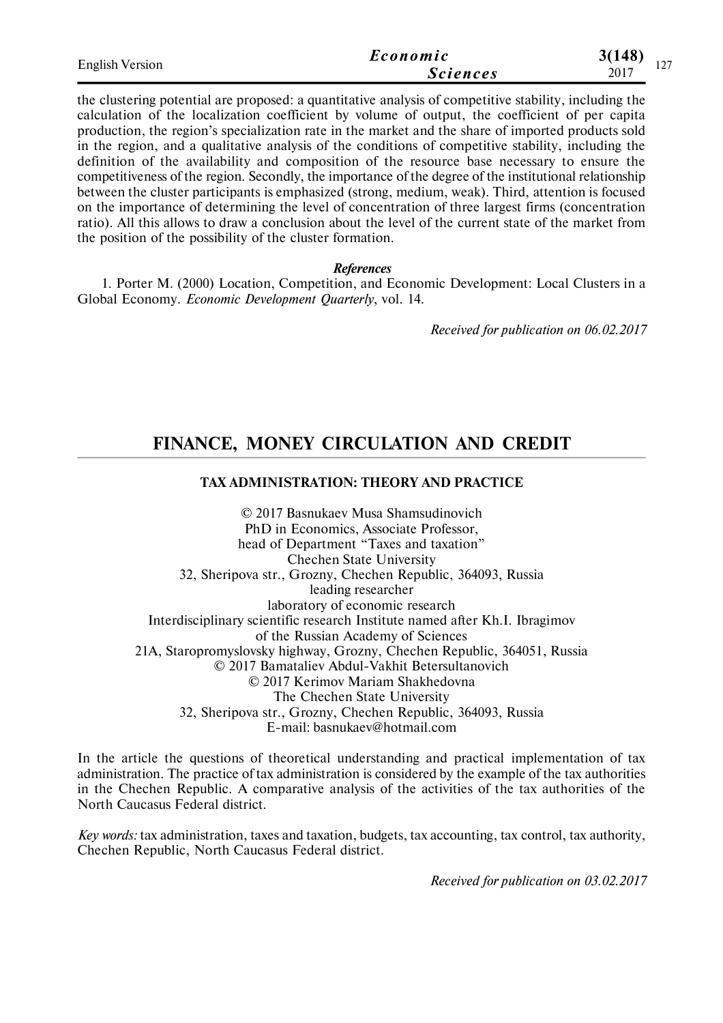| <b>English Version</b> | Economic        | 3(148)<br>1 <sub>2</sub> |  |
|------------------------|-----------------|--------------------------|--|
|                        | <i>Sciences</i> | .<br>2017                |  |

the clustering potential are proposed: a quantitative analysis of competitive stability, including the calculation of the localization coefficient by volume of output, the coefficient of per capita production, the region's specialization rate in the market and the share of imported products sold in the region, and a qualitative analysis of the conditions of competitive stability, including the definition of the availability and composition of the resource base necessary to ensure the competitiveness of the region. Secondly, the importance of the degree of the institutional relationship between the cluster participants is emphasized (strong, medium, weak). Third, attention is focused on the importance of determining the level of concentration of three largest firms (concentration ratio). All this allows to draw a conclusion about the level of the current state of the market from the position of the possibility of the cluster formation.

*References*

1. Porter M. (2000) Location, Competition, and Economic Development: Local Clusters in a Global Economy. *Economic Development Quarterly*, vol. 14.

*Received for publication on 06.02.2017*

# **FINANCE, MONEY CIRCULATION AND CREDIT**

## **TAX ADMINISTRATION: THEORY AND PRACTICE**

© 2017 Basnukaev Musa Shamsudinovich PhD in Economics, Associate Professor, head of Department "Taxes and taxation" Chechen State University 32, Sheripova str., Grozny, Chechen Republic, 364093, Russia leading researcher laboratory of economic research Interdisciplinary scientific research Institute named after Kh.I. Ibragimov of the Russian Academy of Sciences 21A, Staropromyslovsky highway, Grozny, Chechen Republic, 364051, Russia © 2017 Bamataliev Abdul-Vakhit Betersultanovich © 2017 Kerimov Mariam Shakhedovna The Chechen State University 32, Sheripova str., Grozny, Chechen Republic, 364093, Russia E-mail: basnukaev@hotmail.com

In the article the questions of theoretical understanding and practical implementation of tax administration. The practice of tax administration is considered by the example of the tax authorities in the Chechen Republic. A comparative analysis of the activities of the tax authorities of the North Caucasus Federal district.

*Key words:* tax administration, taxes and taxation, budgets, tax accounting, tax control, tax authority, Chechen Republic, North Caucasus Federal district.

*Received for publication on 03.02.2017*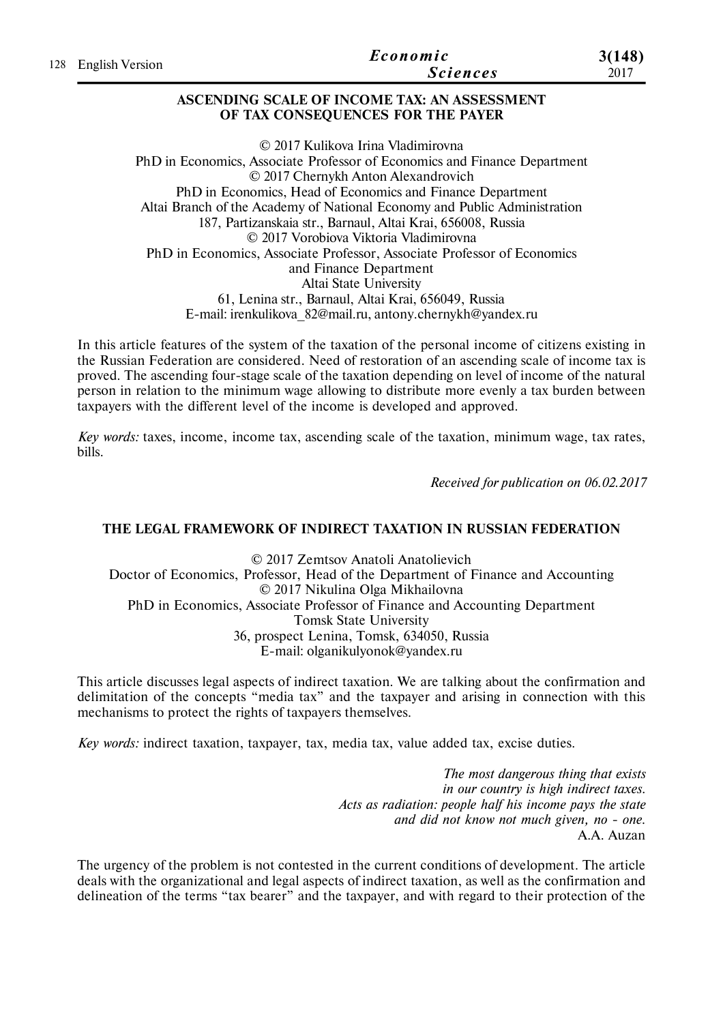|                     | Economic        | 3(148) |
|---------------------|-----------------|--------|
| 128 English Version | <b>Sciences</b> | 2017   |
|                     |                 |        |

## **ASCENDING SCALE OF INCOME TAX: AN ASSESSMENT OF TAX CONSEQUENCES FOR THE PAYER**

© 2017 Kulikova Irina Vladimirovna PhD in Economics, Associate Professor of Economics and Finance Department © 2017 Chernykh Anton Alexandrovich PhD in Economics, Head of Economics and Finance Department Altai Branch of the Academy of National Economy and Public Administration 187, Partizanskaia str., Barnaul, Altai Krai, 656008, Russia © 2017 Vorobiova Viktoria Vladimirovna PhD in Economics, Associate Professor, Associate Professor of Economics and Finance Department Altai State University 61, Lenina str., Barnaul, Altai Krai, 656049, Russia E-mail: irenkulikova\_82@mail.ru, antony.chernykh@yandex.ru

In this article features of the system of the taxation of the personal income of citizens existing in the Russian Federation are considered. Need of restoration of an ascending scale of income tax is proved. The ascending four-stage scale of the taxation depending on level of income of the natural person in relation to the minimum wage allowing to distribute more evenly a tax burden between taxpayers with the different level of the income is developed and approved.

*Key words:* taxes, income, income tax, ascending scale of the taxation, minimum wage, tax rates, bills.

*Received for publication on 06.02.2017*

## **THE LEGAL FRAMEWORK OF INDIRECT TAXATION IN RUSSIAN FEDERATION**

© 2017 Zemtsov Anatoli Anatolievich Doctor of Economics, Professor, Head of the Department of Finance and Accounting © 2017 Nikulina Olga Mikhailovna PhD in Economics, Associate Professor of Finance and Accounting Department Tomsk State University 36, prospect Lenina, Tomsk, 634050, Russia E-mail: olganikulyonok@yandex.ru

This article discusses legal aspects of indirect taxation. We are talking about the confirmation and delimitation of the concepts "media tax" and the taxpayer and arising in connection with this mechanisms to protect the rights of taxpayers themselves.

*Key words:* indirect taxation, taxpayer, tax, media tax, value added tax, excise duties.

*The most dangerous thing that exists in our country is high indirect taxes. Acts as radiation: people half his income pays the state and did not know not much given, no - one.* A.A. Auzan

The urgency of the problem is not contested in the current conditions of development. The article deals with the organizational and legal aspects of indirect taxation, as well as the confirmation and delineation of the terms "tax bearer" and the taxpayer, and with regard to their protection of the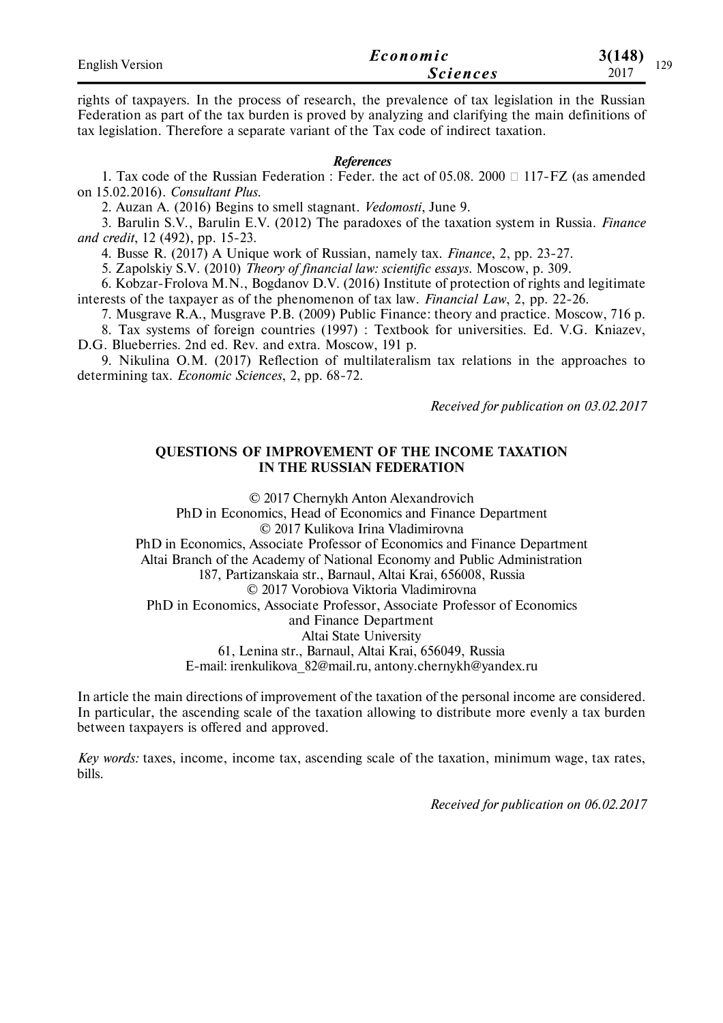| <b>English Version</b> | Economic        | 3(148)<br>170 |
|------------------------|-----------------|---------------|
|                        | <i>Sciences</i> | ▪∠ノ<br>2017   |

rights of taxpayers. In the process of research, the prevalence of tax legislation in the Russian Federation as part of the tax burden is proved by analyzing and clarifying the main definitions of tax legislation. Therefore a separate variant of the Tax code of indirect taxation.

#### *References*

1. Tax code of the Russian Federation : Feder. the act of 05.08. 2000  $\Box$  117-FZ (as amended on 15.02.2016). *Consultant Plus*.

2. Auzan A. (2016) Begins to smell stagnant. *Vedomosti*, June 9.

3. Barulin S.V., Barulin E.V. (2012) The paradoxes of the taxation system in Russia. *Finance and credit*, 12 (492), рр. 15-23.

4. Busse R. (2017) A Unique work of Russian, namely tax. *Finance*, 2, рр. 23-27.

5. Zapolskiy S.V. (2010) *Theory of financial law: scientific essays*. Moscow, р. 309.

6. Kobzar-Frolova M.N., Bogdanov D.V. (2016) Institute of protection of rights and legitimate interests of the taxpayer as of the phenomenon of tax law. *Financial Law*, 2, рр. 22-26.

7. Musgrave R.A., Musgrave P.B. (2009) Public Finance: theory and practice. Moscow, 716 p.

8. Tax systems of foreign countries (1997) : Textbook for universities. Ed. V.G. Kniazev, D.G. Blueberries. 2nd ed. Rev. and extra. Moscow, 191 p.

9. Nikulina O.M. (2017) Reflection of multilateralism tax relations in the approaches to determining tax. *Economic Sciences*, 2, рр. 68-72.

*Received for publication on 03.02.2017*

## **QUESTIONS OF IMPROVEMENT OF THE INCOME TAXATION IN THE RUSSIAN FEDERATION**

© 2017 Chernykh Anton Alexandrovich PhD in Economics, Head of Economics and Finance Department © 2017 Kulikova Irina Vladimirovna PhD in Economics, Associate Professor of Economics and Finance Department Altai Branch of the Academy of National Economy and Public Administration 187, Partizanskaia str., Barnaul, Altai Krai, 656008, Russia © 2017 Vorobiova Viktoria Vladimirovna PhD in Economics, Associate Professor, Associate Professor of Economics and Finance Department Altai State University 61, Lenina str., Barnaul, Altai Krai, 656049, Russia E-mail: irenkulikova\_82@mail.ru, antony.chernykh@yandex.ru

In article the main directions of improvement of the taxation of the personal income are considered. In particular, the ascending scale of the taxation allowing to distribute more evenly a tax burden between taxpayers is offered and approved.

*Key words:* taxes, income, income tax, ascending scale of the taxation, minimum wage, tax rates, bills.

*Received for publication on 06.02.2017*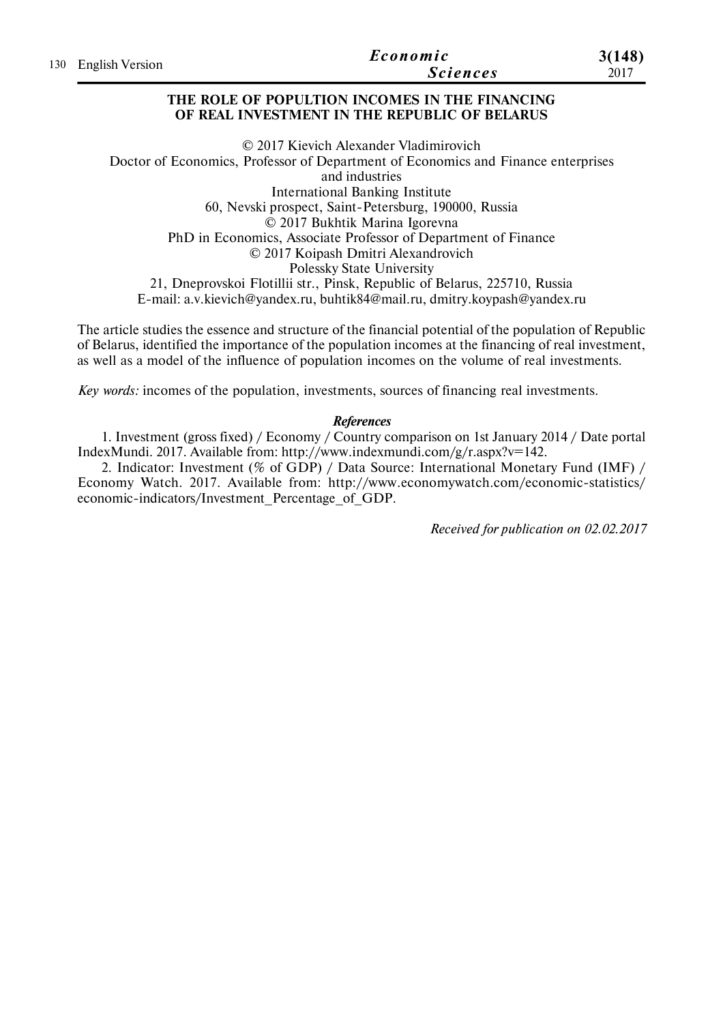|  | 130 English Version | Economic        | 3(148) |
|--|---------------------|-----------------|--------|
|  |                     | <i>Sciences</i> | 2017   |

## **THE ROLE OF POPULTION INCOMES IN THE FINANCING OF REAL INVESTMENT IN THE REPUBLIC OF BELARUS**

© 2017 Kievich Alexander Vladimirovich Doctor of Economics, Professor of Department of Economics and Finance enterprises and industries International Banking Institute 60, Nevski prospect, Saint-Petersburg, 190000, Russia © 2017 Bukhtik Marina Igorevna PhD in Economics, Associate Professor of Department of Finance © 2017 Koipash Dmitri Alexandrovich Polessky State University 21, Dneprovskoi Flotillii str., Pinsk, Republic of Belarus, 225710, Russia E-mail: a.v.kievich@yandex.ru, buhtik84@mail.ru, dmitry.koypash@yandex.ru

The article studies the essence and structure of the financial potential of the population of Republic of Belarus, identified the importance of the population incomes at the financing of real investment, as well as a model of the influence of population incomes on the volume of real investments.

*Key words:* incomes of the population, investments, sources of financing real investments.

## *References*

1. Investment (gross fixed) / Economy / Country comparison on 1st January 2014 / Date portal IndexMundi. 2017. Available from: http://www.indexmundi.com/g/r.aspx?v=142.

2. Indicator: Investment (% of GDP) / Data Source: International Monetary Fund (IMF) / Economy Watch. 2017. Available from: http://www.economywatch.com/economic-statistics/ economic-indicators/Investment\_Percentage\_of\_GDP.

*Received for publication on 02.02.2017*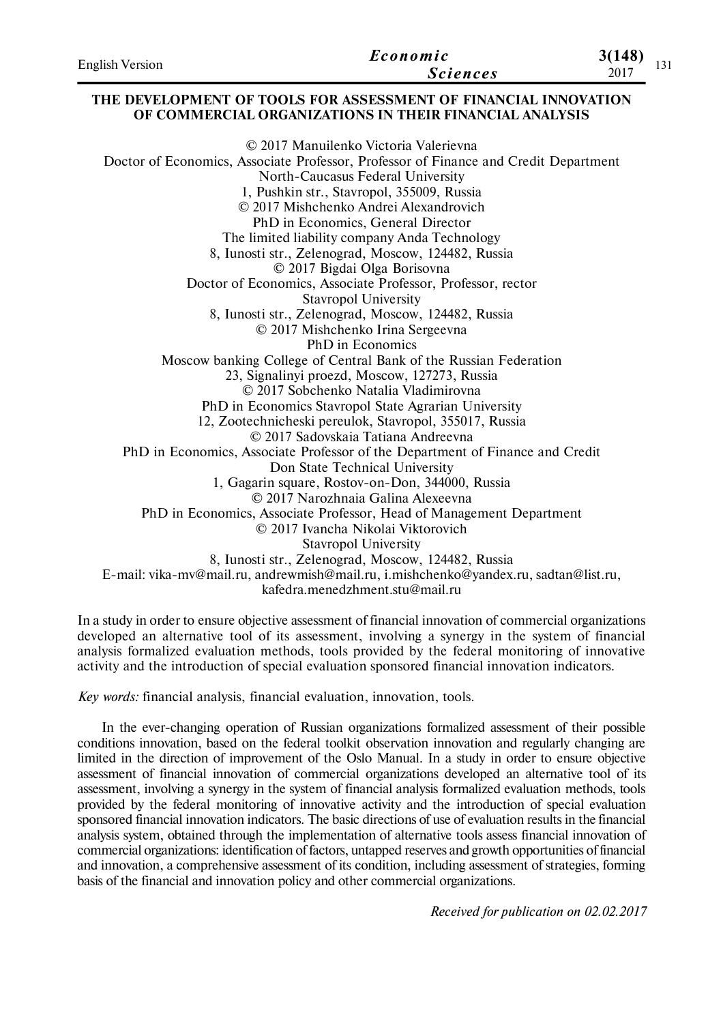| <b>English Version</b> | Economic        | 3(148)      |
|------------------------|-----------------|-------------|
|                        | <b>Sciences</b> | 171<br>2017 |

#### **THE DEVELOPMENT OF TOOLS FOR ASSESSMENT OF FINANCIAL INNOVATION OF COMMERCIAL ORGANIZATIONS IN THEIR FINANCIAL ANALYSIS**

© 2017 Manuilenko Victoria Valerievna Doctor of Economics, Associate Professor, Professor of Finance and Credit Department North-Caucasus Federal University 1, Pushkin str., Stavropol, 355009, Russia © 2017 Mishchenko Andrei Alexandrovich PhD in Economics, General Director The limited liability company Anda Technology 8, Iunosti str., Zelenograd, Moscow, 124482, Russia © 2017 Bigdai Olga Borisovna Doctor of Economics, Associate Professor, Professor, rector Stavropol University 8, Iunosti str., Zelenograd, Moscow, 124482, Russia © 2017 Mishchenko Irina Sergeevna PhD in Economics Moscow banking College of Central Bank of the Russian Federation 23, Signalinyi proezd, Moscow, 127273, Russia © 2017 Sobchenko Natalia Vladimirovna PhD in Economics Stavropol State Agrarian University 12, Zootechnicheski pereulok, Stavropol, 355017, Russia © 2017 Sadovskaia Tatiana Andreevna PhD in Economics, Associate Professor of the Department of Finance and Credit Don State Technical University 1, Gagarin square, Rostov-on-Don, 344000, Russia © 2017 Narozhnaia Galina Alexeevna PhD in Economics, Associate Professor, Head of Management Department © 2017 Ivancha Nikolai Viktorovich Stavropol University 8, Iunosti str., Zelenograd, Moscow, 124482, Russia E-mail: vika-mv@mail.ru, andrewmish@mail.ru, i.mishchenko@yandex.ru, sadtan@list.ru, kafedra.menedzhment.stu@mail.ru

In a study in order to ensure objective assessment of financial innovation of commercial organizations developed an alternative tool of its assessment, involving a synergy in the system of financial analysis formalized evaluation methods, tools provided by the federal monitoring of innovative activity and the introduction of special evaluation sponsored financial innovation indicators.

*Key words:* financial analysis, financial evaluation, innovation, tools.

In the ever-changing operation of Russian organizations formalized assessment of their possible conditions innovation, based on the federal toolkit observation innovation and regularly changing are limited in the direction of improvement of the Oslo Manual. In a study in order to ensure objective assessment of financial innovation of commercial organizations developed an alternative tool of its assessment, involving a synergy in the system of financial analysis formalized evaluation methods, tools provided by the federal monitoring of innovative activity and the introduction of special evaluation sponsored financial innovation indicators. The basic directions of use of evaluation results in the financial analysis system, obtained through the implementation of alternative tools assess financial innovation of commercial organizations: identification of factors, untapped reserves and growth opportunities of financial and innovation, a comprehensive assessment of its condition, including assessment of strategies, forming basis of the financial and innovation policy and other commercial organizations.

*Received for publication on 02.02.2017*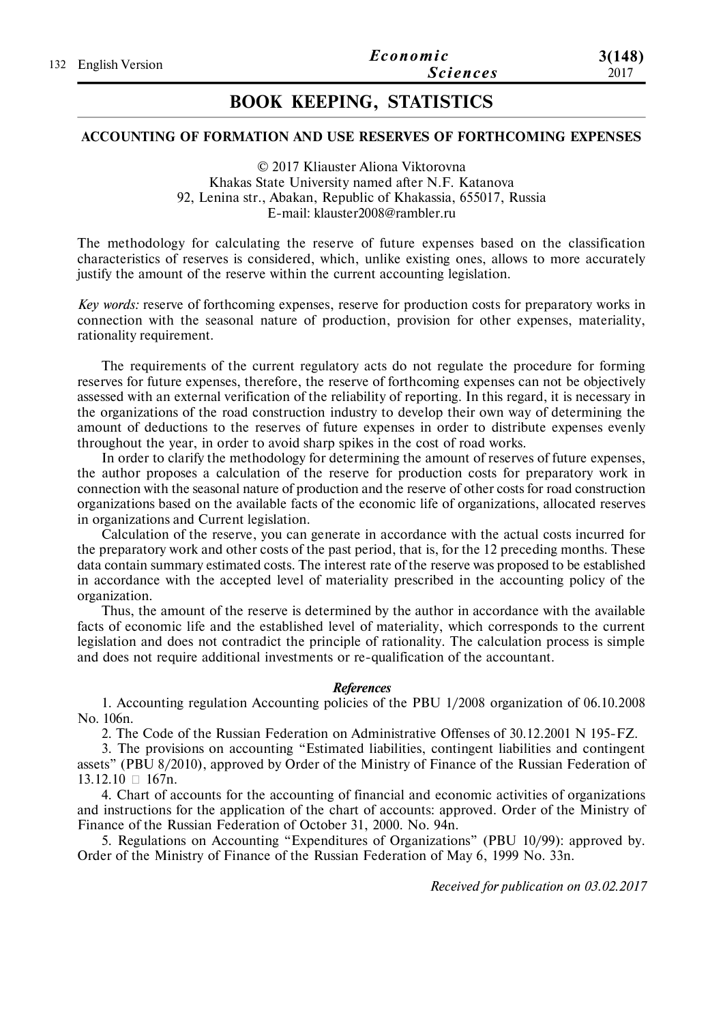# **BOOK KEEPING, STATISTICS**

## **ACCOUNTING OF FORMATION AND USE RESERVES OF FORTHCOMING EXPENSES**

© 2017 Kliauster Aliona Viktorovna Khakas State University named after N.F. Katanova 92, Lenina str., Abakan, Republic of Khakassia, 655017, Russia E-mail: klauster2008@rambler.ru

The methodology for calculating the reserve of future expenses based on the classification characteristics of reserves is considered, which, unlike existing ones, allows to more accurately justify the amount of the reserve within the current accounting legislation.

*Key words:* reserve of forthcoming expenses, reserve for production costs for preparatory works in connection with the seasonal nature of production, provision for other expenses, materiality, rationality requirement.

The requirements of the current regulatory acts do not regulate the procedure for forming reserves for future expenses, therefore, the reserve of forthcoming expenses can not be objectively assessed with an external verification of the reliability of reporting. In this regard, it is necessary in the organizations of the road construction industry to develop their own way of determining the amount of deductions to the reserves of future expenses in order to distribute expenses evenly throughout the year, in order to avoid sharp spikes in the cost of road works.

In order to clarify the methodology for determining the amount of reserves of future expenses, the author proposes a calculation of the reserve for production costs for preparatory work in connection with the seasonal nature of production and the reserve of other costs for road construction organizations based on the available facts of the economic life of organizations, allocated reserves in organizations and Current legislation.

Calculation of the reserve, you can generate in accordance with the actual costs incurred for the preparatory work and other costs of the past period, that is, for the 12 preceding months. These data contain summary estimated costs. The interest rate of the reserve was proposed to be established in accordance with the accepted level of materiality prescribed in the accounting policy of the organization.

Thus, the amount of the reserve is determined by the author in accordance with the available facts of economic life and the established level of materiality, which corresponds to the current legislation and does not contradict the principle of rationality. The calculation process is simple and does not require additional investments or re-qualification of the accountant.

#### *References*

1. Accounting regulation Accounting policies of the PBU 1/2008 organization of 06.10.2008 No. 106n.

2. The Code of the Russian Federation on Administrative Offenses of 30.12.2001 N 195-FZ.

3. The provisions on accounting "Estimated liabilities, contingent liabilities and contingent assets" (PBU 8/2010), approved by Order of the Ministry of Finance of the Russian Federation of  $13.12.10 \square 167n$ .

4. Chart of accounts for the accounting of financial and economic activities of organizations and instructions for the application of the chart of accounts: approved. Order of the Ministry of Finance of the Russian Federation of October 31, 2000. No. 94n.

5. Regulations on Accounting "Expenditures of Organizations" (PBU 10/99): approved by. Order of the Ministry of Finance of the Russian Federation of May 6, 1999 No. 33n.

*Received for publication on 03.02.2017*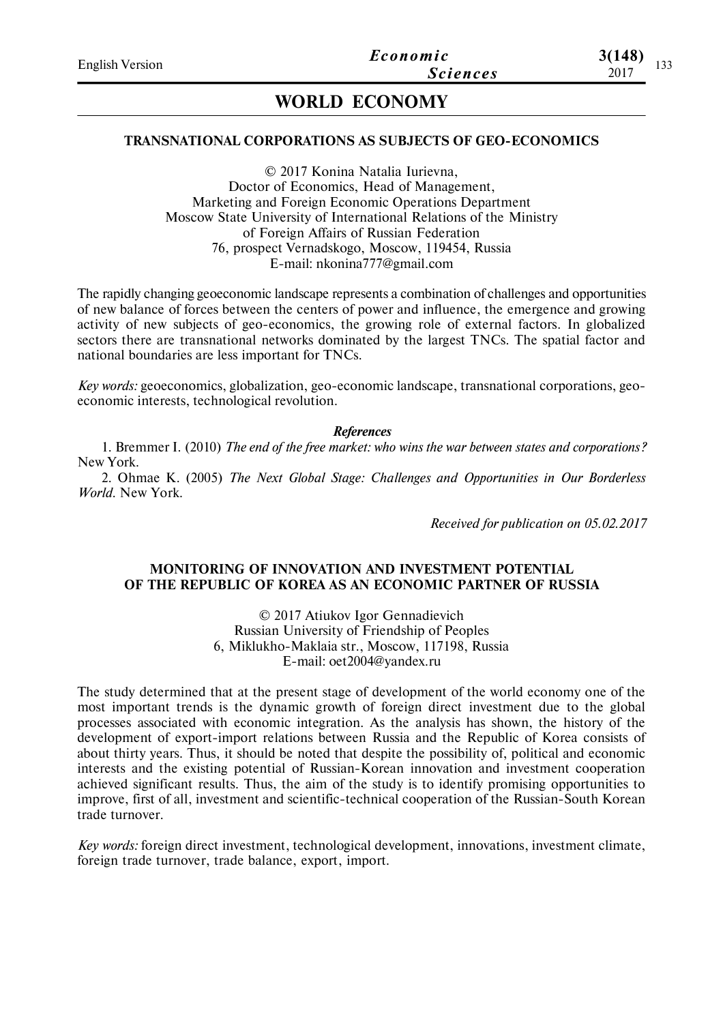# **WORLD ECONOMY**

## **TRANSNATIONAL CORPORATIONS AS SUBJECTS OF GEO-ECONOMICS**

© 2017 Konina Natalia Iurievna, Doctor of Economics, Head of Management, Marketing and Foreign Economic Operations Department Moscow State University of International Relations of the Ministry of Foreign Affairs of Russian Federation 76, prospect Vernadskogo, Moscow, 119454, Russia E-mail: nkonina777@gmail.com

The rapidly changing geoeconomic landscape represents a combination of challenges and opportunities of new balance of forces between the centers of power and influence, the emergence and growing activity of new subjects of geo-economics, the growing role of external factors. In globalized sectors there are transnational networks dominated by the largest TNCs. The spatial factor and national boundaries are less important for TNCs.

*Key words:* geoeconomics, globalization, geo-economic landscape, transnational corporations, geoeconomic interests, technological revolution.

*References*

1. Bremmer I. (2010) *The end of the free market: who wins the war between states and corporations?* New York.

2. Ohmae K. (2005) *The Next Global Stage: Challenges and Opportunities in Our Borderless World*. New York.

*Received for publication on 05.02.2017*

## **MONITORING OF INNOVATION AND INVESTMENT POTENTIAL OF THE REPUBLIC OF KOREA AS AN ECONOMIC PARTNER OF RUSSIA**

© 2017 Atiukov Igor Gennadievich Russian University of Friendship of Peoples 6, Miklukho-Maklaia str., Moscow, 117198, Russia E-mail: oet2004@yandex.ru

The study determined that at the present stage of development of the world economy one of the most important trends is the dynamic growth of foreign direct investment due to the global processes associated with economic integration. As the analysis has shown, the history of the development of export-import relations between Russia and the Republic of Korea consists of about thirty years. Thus, it should be noted that despite the possibility of, political and economic interests and the existing potential of Russian-Korean innovation and investment cooperation achieved significant results. Thus, the aim of the study is to identify promising opportunities to improve, first of all, investment and scientific-technical cooperation of the Russian-South Korean trade turnover.

*Key words:* foreign direct investment, technological development, innovations, investment climate, foreign trade turnover, trade balance, export, import.